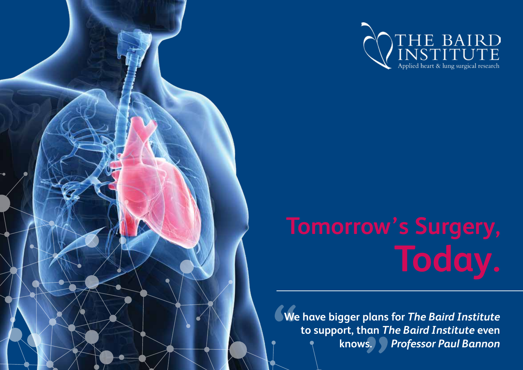



# **Tomorrow's Surgery, Today.**

**We have bigger plans for** *The Baird Institute* **to support, than** *The Baird Institute* **even knows.** *Professor Paul Bannon*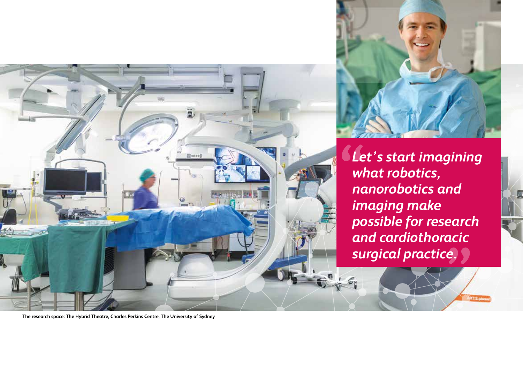



*Let's start imagining what robotics, nanorobotics and imaging make possible for research and cardiothoracic surgical practice.*

**The research space: The Hybrid Theatre, Charles Perkins Centre, The University of Sydney**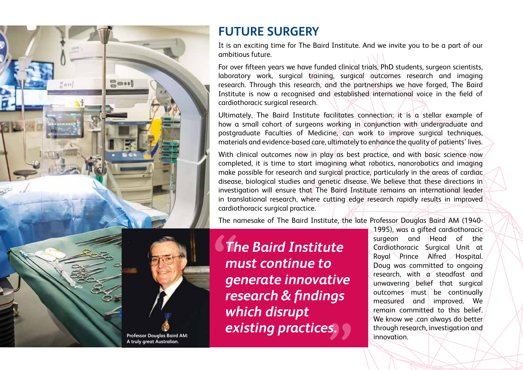

**A truly great Australian.**

### **FUTURE SURGERY**

It is an exciting time for The Baird Institute. And we invite you to be a part of our ambitious future.

For over fifteen years we have funded clinical trials, PhD students, surgeon scientists, laboratory work, surgical training, surgical outcomes research and imaging research. Through this research, and the partnerships we have forged, The Baird Institute is now a recognised and established international voice in the field of cardiothoracic surgical research.

Ultimately, The Baird Institute facilitates connection: it is a stellar example of how a small cohort of surgeons working in conjunction with undergraduate and postgraduate Faculties of Medicine, can work to improve surgical techniques, materials and evidence-based care, ultimately to enhance the quality of patients' lives.

With clinical outcomes now in play as best practice, and with basic science now completed, it is time to start imagining what robotics, nanorobotics and imaging make possible for research and surgical practice, particularly in the areas of cardiac disease, biological studies and genetic disease. We believe that these directions in investigation will ensure that The Baird Institute remains an international leader in translational research, where cutting edge research rapidly results in improved cardiothoracic surgical practice.

The namesake of The Baird Institute, the late Professor Douglas Baird AM (1940-

*The Baird Institute must continue to generate innovative research & findings which disrupt*  **existing practices.** 

1995), was a gifted cardiothoracic surgeon and Head of the Cardiothoracic Surgical Unit at Royal Prince Alfred Hospital. Doug was committed to ongoing research, with a steadfast and unwavering belief that surgical outcomes must be continually measured and improved. We remain committed to this belief. We know we .can always do better through research, investigation and innovation.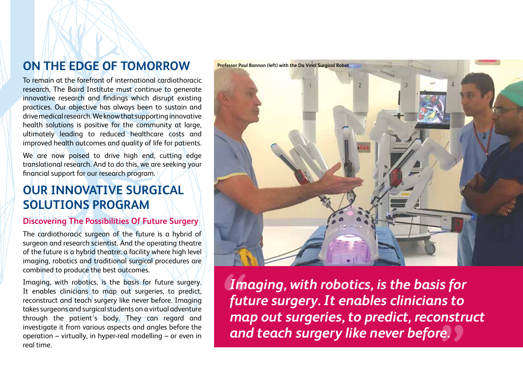# **ON THE EDGE OF TOMORROW**

To remain at the forefront of international cardiothoracic research, The Baird Institute must continue to generate innovative research and findings which disrupt existing practices. Our objective has always been to sustain and drive medical research. We know that supporting innovative health solutions is positive for the community at large, ultimately leading to reduced healthcare costs and improved health outcomes and quality of life for patients.

We are now poised to drive high end, cutting edge translational research. And to do this, we are seeking your financial support for our research program.

## **OUR INNOVATIVE SURGICAL SOLUTIONS PROGRAM**

#### **Discovering The Possibilities Of Future Surgery**

The cardiothoracic surgeon of the future is a hybrid of surgeon and research scientist. And the operating theatre of the future is a hybrid theatre: a facility where high level imaging, robotics and traditional surgical procedures are combined to produce the best outcomes.

Imaging, with robotics, is the basis for future surgery. It enables clinicians to map out surgeries, to predict, reconstruct and teach surgery like never before. Imaging takes surgeons and surgical students on a virtual adventure through the patient's body. They can regard and investigate it from various aspects and angles before the operation – virtually, in hyper-real modelling – or even in real time.



*Imaging, with robotics, is the basis for future surgery. It enables clinicians to map out surgeries, to predict, reconstruct and teach surgery like never before.*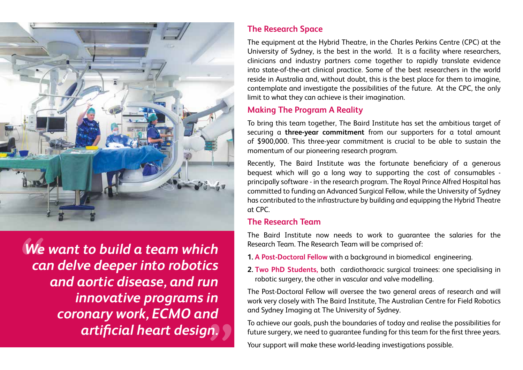

*We want to build a team which can delve deeper into robotics and aortic disease, and run innovative programs in coronary work, ECMO and artificial heart design.*

#### **The Research Space**

The equipment at the Hybrid Theatre, in the Charles Perkins Centre (CPC) at the University of Sydney, is the best in the world. It is a facility where researchers, clinicians and industry partners come together to rapidly translate evidence into state-of-the-art clinical practice. Some of the best researchers in the world reside in Australia and, without doubt, this is the best place for them to imagine, contemplate and investigate the possibilities of the future. At the CPC, the only limit to what they can achieve is their imagination.

#### **Making The Program A Reality**

To bring this team together, The Baird Institute has set the ambitious target of securing a **three-year commitment** from our supporters for a total amount of \$900,000. This three-year commitment is crucial to be able to sustain the momentum of our pioneering research program.

Recently, The Baird Institute was the fortunate beneficiary of a generous bequest which will go a long way to supporting the cost of consumables principally software - in the research program. The Royal Prince Alfred Hospital has committed to funding an Advanced Surgical Fellow, while the University of Sydney has contributed to the infrastructure by building and equipping the Hybrid Theatre at CPC.

#### **The Research Team**

The Baird Institute now needs to work to guarantee the salaries for the Research Team. The Research Team will be comprised of:

- **1. A Post-Doctoral Fellow** with a background in biomedical engineering.
- **2. Two PhD Students,** both cardiothoracic surgical trainees: one specialising in robotic surgery, the other in vascular and valve modelling.

The Post-Doctoral Fellow will oversee the two general areas of research and will work very closely with The Baird Institute, The Australian Centre for Field Robotics and Sydney Imaging at The University of Sydney.

To achieve our goals, push the boundaries of today and realise the possibilities for future surgery, we need to guarantee funding for this team for the first three years.

Your support will make these world-leading investigations possible.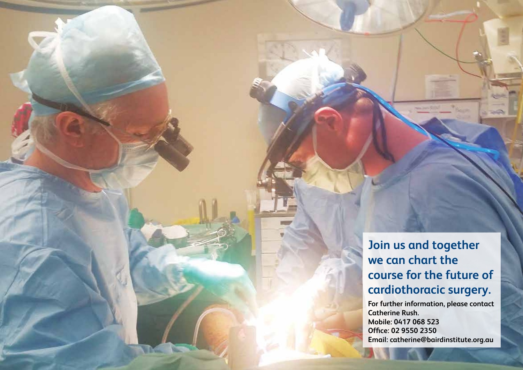**Join us and together we can chart the course for the future of cardiothoracic surgery.** 

**For further information, please contact Catherine Rush. Mobile: 0417 068 523 Office: 02 9550 2350 Email: catherine@bairdinstitute.org.au**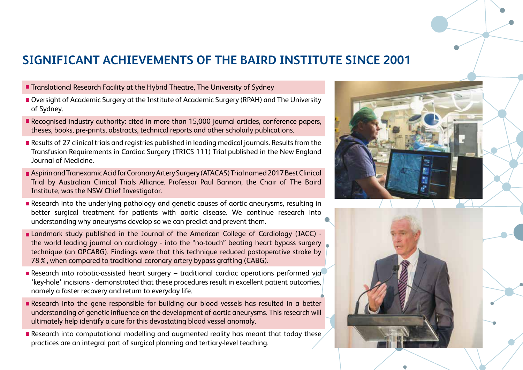## **SIGNIFICANT ACHIEVEMENTS OF THE BAIRD INSTITUTE SINCE 2001**

- **Translational Research Facility at the Hybrid Theatre, The University of Sydney**
- Oversight of Academic Surgery at the Institute of Academic Surgery (RPAH) and The University of Sydney.
- Recognised industry authority: cited in more than 15,000 journal articles, conference papers, theses, books, pre-prints, abstracts, technical reports and other scholarly publications.
- Results of 27 clinical trials and registries published in leading medical journals. Results from the Transfusion Requirements in Cardiac Surgery (TRICS 111) Trial published in the New England Journal of Medicine.
- Aspirin and Tranexamic Acid for Coronary Artery Surgery (ATACAS) Trial named 2017 Best Clinical Trial by Australian Clinical Trials Alliance. Professor Paul Bannon, the Chair of The Baird Institute, was the NSW Chief Investigator.
- Research into the underlying pathology and genetic causes of aortic aneurysms, resulting in better surgical treatment for patients with aortic disease. We continue research into understanding why aneurysms develop so we can predict and prevent them.
- Landmark study published in the Journal of the American College of Cardiology (JACC) the world leading journal on cardiology - into the "no-touch" beating heart bypass surgery technique (an OPCABG). Findings were that this technique reduced postoperative stroke by 78%, when compared to traditional coronary artery bypass grafting (CABG).
- Research into robotic-assisted heart surgery traditional cardiac operations performed via 'key-hole' incisions - demonstrated that these procedures result in excellent patient outcomes, namely a faster recovery and return to everyday life.
- Research into the gene responsible for building our blood vessels has resulted in a better understanding of genetic influence on the development of aortic aneurysms. This research will ultimately help identify a cure for this devastating blood vessel anomaly.
- Research into computational modelling and augmented reality has meant that today these practices are an integral part of surgical planning and tertiary-level teaching.